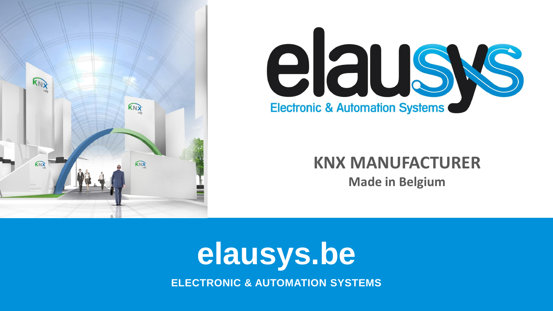



### **KNX MANUFACTURER**

**Made in Belgium**

## **elausys.be ELECTRONIC & AUTOMATION SYSTEMS**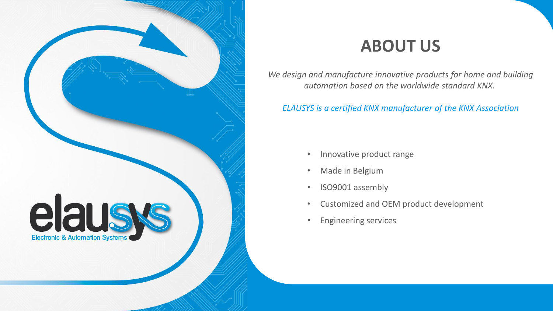

### **ABOUT US**

*We design and manufacture innovative products for home and building automation based on the worldwide standard KNX.*

#### *ELAUSYS is a certified KNX manufacturer of the KNX Association*

- Innovative product range
- Made in Belgium
- ISO9001 assembly
- Customized and OEM product development
- Engineering services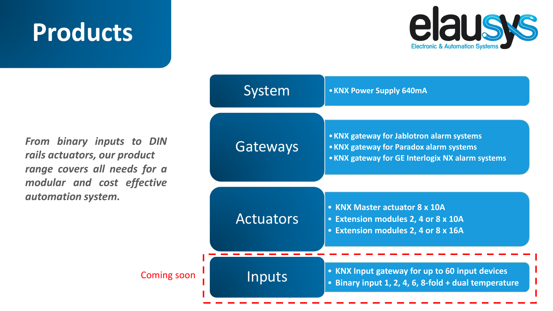

*From binary inputs to DIN rails actuators, our product range covers all needs for a modular and cost effective automation system.*

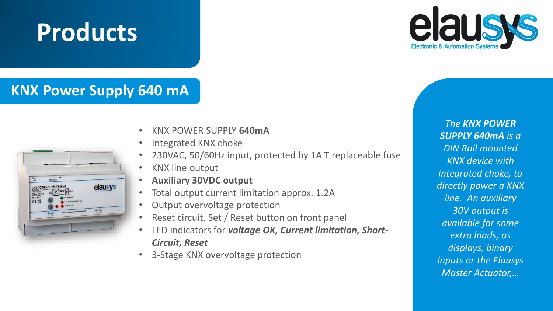

### **KNX Power Supply 640 mA**



- KNX POWER SUPPLY **640mA**
- Integrated KNX choke
- 230VAC, 50/60Hz input, protected by 1A T replaceable fuse
- KNX line output
- **Auxiliary 30VDC output**
- Total output current limitation approx. 1.2A
- Output overvoltage protection
- Reset circuit, Set / Reset button on front panel
- LED indicators for *voltage OK, Current limitation, Short-Circuit, Reset*
- 3-Stage KNX overvoltage protection

*The KNX POWER SUPPLY 640mA is a DIN Rail mounted KNX device with integrated choke, to directly power a KNX line. An auxiliary 30V output is available for some extra loads, as displays, binary inputs or the Elausys Master Actuator,…*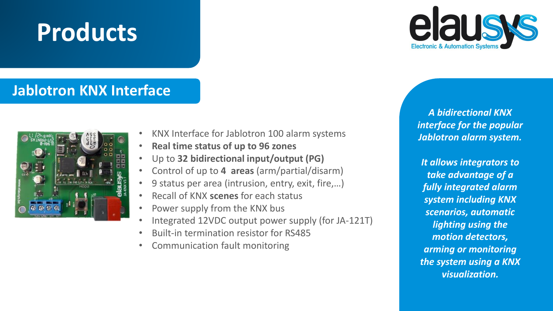

### **Jablotron KNX Interface**



- KNX Interface for Jablotron 100 alarm systems
- **Real time status of up to 96 zones**
- Up to **32 bidirectional input/output (PG)**
- Control of up to **4 areas** (arm/partial/disarm)
- 9 status per area (intrusion, entry, exit, fire,...)
- Recall of KNX **scenes** for each status
- Power supply from the KNX bus
- Integrated 12VDC output power supply (for JA-121T)
- Built-in termination resistor for RS485
- Communication fault monitoring

*A bidirectional KNX interface for the popular Jablotron alarm system.*

*It allows integrators to take advantage of a fully integrated alarm system including KNX scenarios, automatic lighting using the motion detectors, arming or monitoring the system using a KNX visualization.*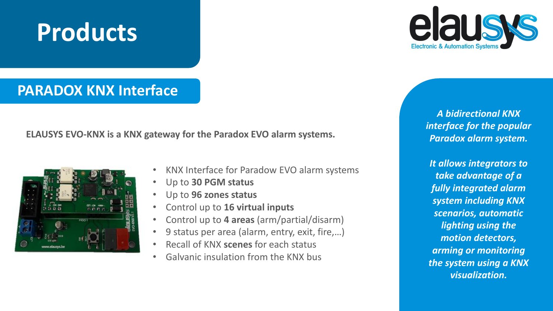# laus

### **PARADOX KNX Interface**

**ELAUSYS EVO-KNX is a KNX gateway for the Paradox EVO alarm systems.**



- KNX Interface for Paradow EVO alarm systems
- Up to **30 PGM status**
- Up to **96 zones status**
- Control up to **16 virtual inputs**
- Control up to **4 areas** (arm/partial/disarm)
- 9 status per area (alarm, entry, exit, fire,…)
- Recall of KNX **scenes** for each status
- Galvanic insulation from the KNX bus

*A bidirectional KNX interface for the popular Paradox alarm system.*

*It allows integrators to take advantage of a fully integrated alarm system including KNX scenarios, automatic lighting using the motion detectors, arming or monitoring the system using a KNX visualization.*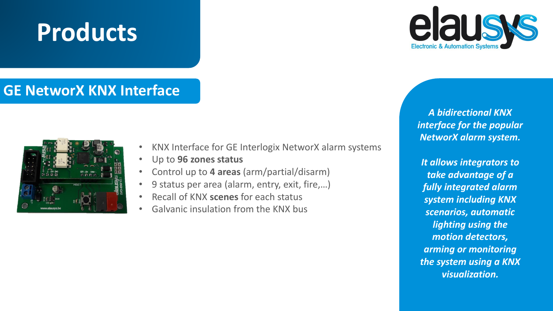### **GE NetworX KNX Interface**



- KNX Interface for GE Interlogix NetworX alarm systems
- Up to **96 zones status**
- Control up to **4 areas** (arm/partial/disarm)
- 9 status per area (alarm, entry, exit, fire,…)
- Recall of KNX **scenes** for each status
- Galvanic insulation from the KNX bus



*A bidirectional KNX interface for the popular NetworX alarm system.*

*It allows integrators to take advantage of a fully integrated alarm system including KNX scenarios, automatic lighting using the motion detectors, arming or monitoring the system using a KNX visualization.*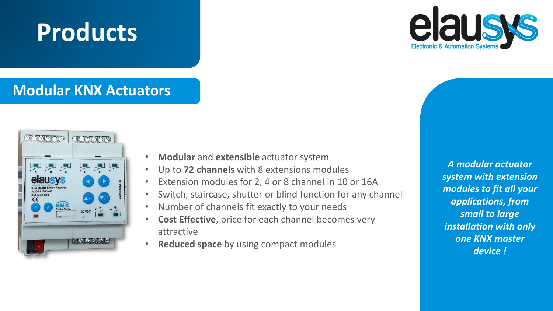### **Modular KNX Actuators**

**Products**



- **Modular** and **extensible** actuator system
- Up to **72 channels** with 8 extensions modules
- Extension modules for 2, 4 or 8 channel in 10 or 16A
- Switch, staircase, shutter or blind function for any channel
- Number of channels fit exactly to your needs
- **Cost Effective**, price for each channel becomes very attractive
- **Reduced space** by using compact modules

*A modular actuator system with extension modules to fit all your applications, from small to large installation with only one KNX master device !*

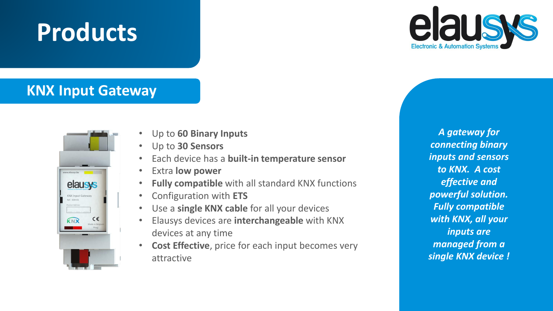

### **KNX Input Gateway**



- Up to **60 Binary Inputs**
- Up to **30 Sensors**
- Each device has a **built-in temperature sensor**
- Extra **low power**
- **Fully compatible** with all standard KNX functions
- Configuration with **ETS**
- Use a **single KNX cable** for all your devices
- Elausys devices are **interchangeable** with KNX devices at any time
- **Cost Effective**, price for each input becomes very attractive

*A gateway for connecting binary inputs and sensors to KNX. A cost effective and powerful solution. Fully compatible with KNX, all your inputs are managed from a single KNX device !*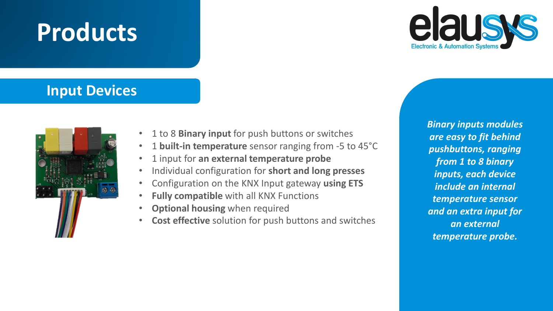

### **Input Devices**



- 1 to 8 **Binary input** for push buttons or switches
- 1 **built-in temperature** sensor ranging from -5 to 45°C
- 1 input for **an external temperature probe**
- Individual configuration for **short and long presses**
- Configuration on the KNX Input gateway **using ETS**
- **Fully compatible** with all KNX Functions
- **Optional housing** when required
- **Cost effective** solution for push buttons and switches

*Binary inputs modules are easy to fit behind pushbuttons, ranging from 1 to 8 binary inputs, each device include an internal temperature sensor and an extra input for an external temperature probe.*